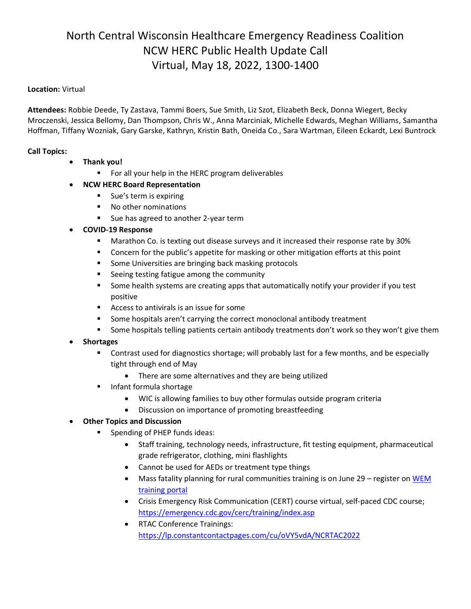## North Central Wisconsin Healthcare Emergency Readiness Coalition NCW HERC Public Health Update Call Virtual, May 18, 2022, 1300-1400

## **Location:** Virtual

**Attendees:** Robbie Deede, Ty Zastava, Tammi Boers, Sue Smith, Liz Szot, Elizabeth Beck, Donna Wiegert, Becky Mroczenski, Jessica Bellomy, Dan Thompson, Chris W., Anna Marciniak, Michelle Edwards, Meghan Williams, Samantha Hoffman, Tiffany Wozniak, Gary Garske, Kathryn, Kristin Bath, Oneida Co., Sara Wartman, Eileen Eckardt, Lexi Buntrock

## **Call Topics:**

- **Thank you!**
	- For all your help in the HERC program deliverables
- **NCW HERC Board Representation**
	- Sue's term is expiring
	- No other nominations
	- Sue has agreed to another 2-year term
- **COVID-19 Response**
	- Marathon Co. is texting out disease surveys and it increased their response rate by 30%
	- Concern for the public's appetite for masking or other mitigation efforts at this point
	- Some Universities are bringing back masking protocols
	- Seeing testing fatigue among the community
	- **EX Some health systems are creating apps that automatically notify your provider if you test** positive
	- Access to antivirals is an issue for some
	- Some hospitals aren't carrying the correct monoclonal antibody treatment
	- **EXECT** Some hospitals telling patients certain antibody treatments don't work so they won't give them
- **Shortages**
	- Contrast used for diagnostics shortage; will probably last for a few months, and be especially tight through end of May
		- There are some alternatives and they are being utilized
	- Infant formula shortage
		- WIC is allowing families to buy other formulas outside program criteria
		- Discussion on importance of promoting breastfeeding
- **Other Topics and Discussion**
	- Spending of PHEP funds ideas:
		- Staff training, technology needs, infrastructure, fit testing equipment, pharmaceutical grade refrigerator, clothing, mini flashlights
		- Cannot be used for AEDs or treatment type things
		- Mass fatality planning for rural communities training is on June 29 register on WEM [training portal](https://www.trainingwisconsin.org/DeliveryDetails.aspx?classid=cce6f908-d218-411f-a37c-b5187bf2b3fe)
		- Crisis Emergency Risk Communication (CERT) course virtual, self-paced CDC course; <https://emergency.cdc.gov/cerc/training/index.asp>
		- RTAC Conference Trainings: <https://lp.constantcontactpages.com/cu/oVY5vdA/NCRTAC2022>